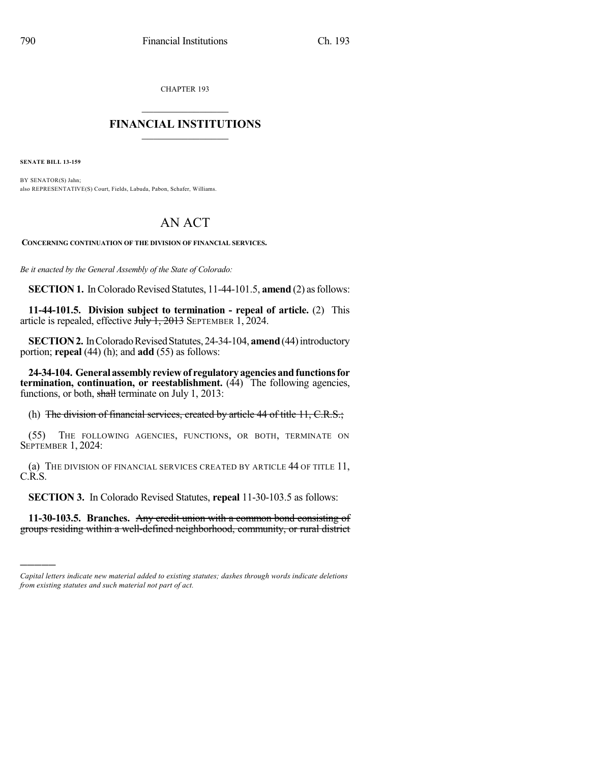CHAPTER 193

## $\overline{\phantom{a}}$  . The set of the set of the set of the set of the set of the set of the set of the set of the set of the set of the set of the set of the set of the set of the set of the set of the set of the set of the set o **FINANCIAL INSTITUTIONS**  $\frac{1}{2}$  ,  $\frac{1}{2}$  ,  $\frac{1}{2}$  ,  $\frac{1}{2}$  ,  $\frac{1}{2}$  ,  $\frac{1}{2}$  ,  $\frac{1}{2}$

**SENATE BILL 13-159**

)))))

BY SENATOR(S) Jahn; also REPRESENTATIVE(S) Court, Fields, Labuda, Pabon, Schafer, Williams.

## AN ACT

**CONCERNING CONTINUATION OF THE DIVISION OF FINANCIAL SERVICES.**

*Be it enacted by the General Assembly of the State of Colorado:*

**SECTION 1.** In Colorado Revised Statutes, 11-44-101.5, **amend** (2) as follows:

**11-44-101.5. Division subject to termination - repeal of article.** (2) This article is repealed, effective  $J_{\text{t}}/J_{\text{t}}$ , 2013 SEPTEMBER 1, 2024.

**SECTION 2.** In Colorado Revised Statutes, 24-34-104, **amend** (44) introductory portion; **repeal** (44) (h); and **add** (55) as follows:

**24-34-104. Generalassemblyreviewof regulatoryagenciesandfunctionsfor termination, continuation, or reestablishment.** (44) The following agencies, functions, or both, shall terminate on July 1, 2013:

(h) The division of financial services, created by article 44 of title 11, C.R.S.;

(55) THE FOLLOWING AGENCIES, FUNCTIONS, OR BOTH, TERMINATE ON SEPTEMBER 1, 2024:

(a) THE DIVISION OF FINANCIAL SERVICES CREATED BY ARTICLE 44 OF TITLE 11, C.R.S.

**SECTION 3.** In Colorado Revised Statutes, **repeal** 11-30-103.5 as follows:

**11-30-103.5. Branches.** Any credit union with a common bond consisting of groups residing within a well-defined neighborhood, community, or rural district

*Capital letters indicate new material added to existing statutes; dashes through words indicate deletions from existing statutes and such material not part of act.*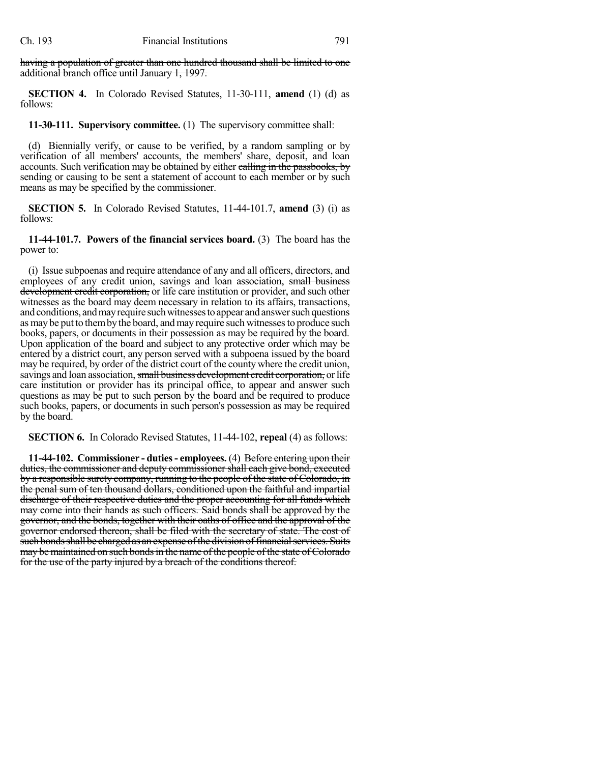having a population of greater than one hundred thousand shall be limited to one additional branch office until January 1, 1997.

**SECTION 4.** In Colorado Revised Statutes, 11-30-111, **amend** (1) (d) as follows:

**11-30-111. Supervisory committee.** (1) The supervisory committee shall:

(d) Biennially verify, or cause to be verified, by a random sampling or by verification of all members' accounts, the members' share, deposit, and loan accounts. Such verification may be obtained by either calling in the passbooks, by sending or causing to be sent a statement of account to each member or by such means as may be specified by the commissioner.

**SECTION 5.** In Colorado Revised Statutes, 11-44-101.7, **amend** (3) (i) as follows:

**11-44-101.7. Powers of the financial services board.** (3) The board has the power to:

(i) Issue subpoenas and require attendance of any and all officers, directors, and employees of any credit union, savings and loan association, small business development credit corporation, or life care institution or provider, and such other witnesses as the board may deem necessary in relation to its affairs, transactions, and conditions, and may require such witnesses to appear and answer such questions as may be put to them by the board, and may require such witnesses to produce such books, papers, or documents in their possession as may be required by the board. Upon application of the board and subject to any protective order which may be entered by a district court, any person served with a subpoena issued by the board may be required, by order of the district court of the county where the credit union, savings and loan association, small business development credit corporation, or life care institution or provider has its principal office, to appear and answer such questions as may be put to such person by the board and be required to produce such books, papers, or documents in such person's possession as may be required by the board.

**SECTION 6.** In Colorado Revised Statutes, 11-44-102, **repeal** (4) as follows:

**11-44-102. Commissioner - duties- employees.** (4) Before entering upon their duties, the commissioner and deputy commissioner shall each give bond, executed by a responsible surety company, running to the people of the state of Colorado, in the penal sum of ten thousand dollars, conditioned upon the faithful and impartial discharge of their respective duties and the proper accounting for all funds which may come into their hands as such officers. Said bonds shall be approved by the governor, and the bonds, together with their oaths of office and the approval of the governor endorsed thereon, shall be filed with the secretary of state. The cost of such bonds shall be charged as an expense of the division of financial services. Suits may be maintained on such bonds in the name of the people of the state of Colorado for the use of the party injured by a breach of the conditions thereof.